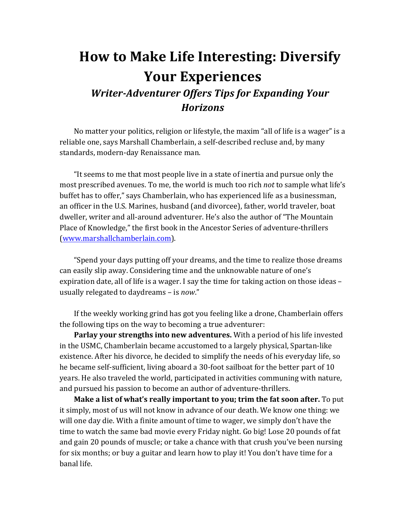## **How to Make Life Interesting: Diversify Your Experiences Writer-Adventurer Offers Tips for Expanding Your** *Horizons*

No matter your politics, religion or lifestyle, the maxim "all of life is a wager" is a reliable one, says Marshall Chamberlain, a self-described recluse and, by many standards, modern-day Renaissance man.

"It seems to me that most people live in a state of inertia and pursue only the most prescribed avenues. To me, the world is much too rich *not* to sample what life's buffet has to offer," says Chamberlain, who has experienced life as a businessman, an officer in the U.S. Marines, husband (and divorcee), father, world traveler, boat dweller, writer and all-around adventurer. He's also the author of "The Mountain Place of Knowledge," the first book in the Ancestor Series of adventure-thrillers (www.marshallchamberlain.com). 

"Spend your days putting off your dreams, and the time to realize those dreams can easily slip away. Considering time and the unknowable nature of one's expiration date, all of life is a wager. I say the time for taking action on those ideas  $$ usually relegated to daydreams - is *now*."

If the weekly working grind has got you feeling like a drone, Chamberlain offers the following tips on the way to becoming a true adventurer:

**Parlay your strengths into new adventures.** With a period of his life invested in the USMC, Chamberlain became accustomed to a largely physical, Spartan-like existence. After his divorce, he decided to simplify the needs of his everyday life, so he became self-sufficient, living aboard a 30-foot sailboat for the better part of 10 years. He also traveled the world, participated in activities communing with nature, and pursued his passion to become an author of adventure-thrillers.

**Make a list of what's really important to you; trim the fat soon after.** To put it simply, most of us will not know in advance of our death. We know one thing: we will one day die. With a finite amount of time to wager, we simply don't have the time to watch the same bad movie every Friday night. Go big! Lose 20 pounds of fat and gain 20 pounds of muscle; or take a chance with that crush you've been nursing for six months; or buy a guitar and learn how to play it! You don't have time for a banal life.